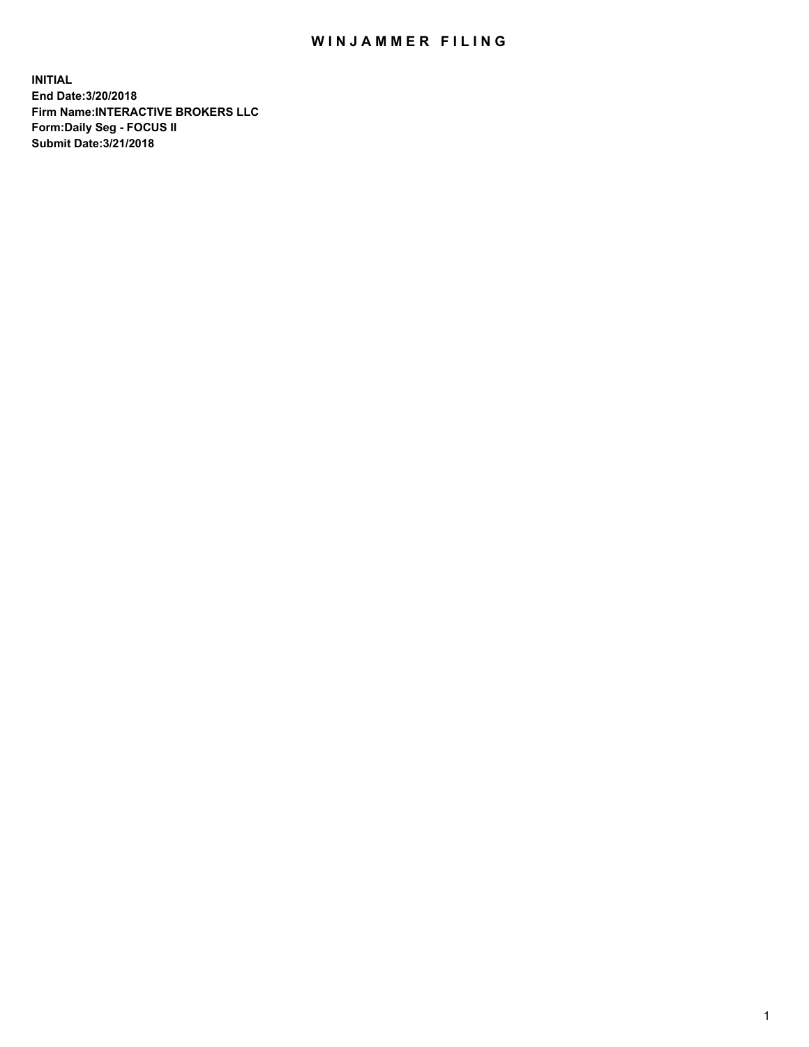## WIN JAMMER FILING

**INITIAL End Date:3/20/2018 Firm Name:INTERACTIVE BROKERS LLC Form:Daily Seg - FOCUS II Submit Date:3/21/2018**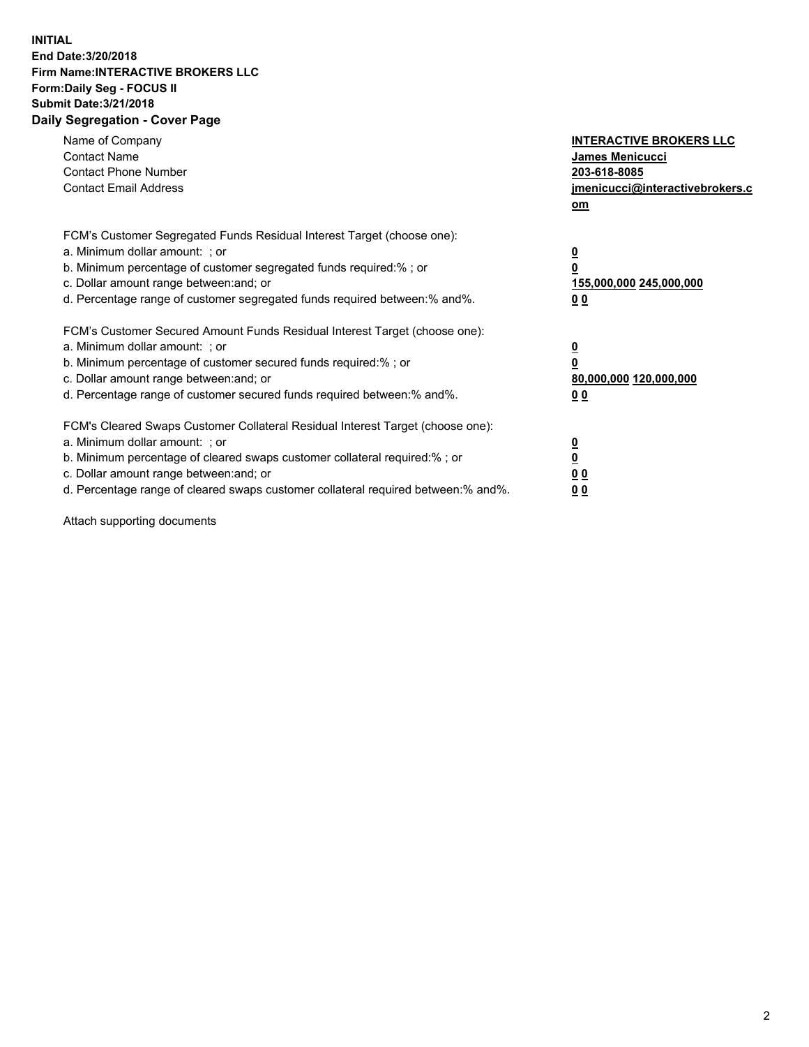## **INITIAL End Date:3/20/2018 Firm Name:INTERACTIVE BROKERS LLC Form:Daily Seg - FOCUS II Submit Date:3/21/2018 Daily Segregation - Cover Page**

| Name of Company<br><b>Contact Name</b><br><b>Contact Phone Number</b>                                                                                                                                                                                                                                                          | <b>INTERACTIVE BROKERS LLC</b><br><b>James Menicucci</b><br>203-618-8085                        |
|--------------------------------------------------------------------------------------------------------------------------------------------------------------------------------------------------------------------------------------------------------------------------------------------------------------------------------|-------------------------------------------------------------------------------------------------|
| <b>Contact Email Address</b>                                                                                                                                                                                                                                                                                                   | jmenicucci@interactivebrokers.c<br>om                                                           |
| FCM's Customer Segregated Funds Residual Interest Target (choose one):<br>a. Minimum dollar amount: ; or<br>b. Minimum percentage of customer segregated funds required:% ; or<br>c. Dollar amount range between: and; or<br>d. Percentage range of customer segregated funds required between:% and%.                         | $\overline{\mathbf{0}}$<br>$\overline{\mathbf{0}}$<br>155,000,000 245,000,000<br>0 <sub>0</sub> |
| FCM's Customer Secured Amount Funds Residual Interest Target (choose one):<br>a. Minimum dollar amount: ; or<br>b. Minimum percentage of customer secured funds required:%; or<br>c. Dollar amount range between: and; or<br>d. Percentage range of customer secured funds required between: % and %.                          | $\overline{\mathbf{0}}$<br>$\overline{\mathbf{0}}$<br>80,000,000 120,000,000<br>0 <sub>0</sub>  |
| FCM's Cleared Swaps Customer Collateral Residual Interest Target (choose one):<br>a. Minimum dollar amount: ; or<br>b. Minimum percentage of cleared swaps customer collateral required:% ; or<br>c. Dollar amount range between: and; or<br>d. Percentage range of cleared swaps customer collateral required between:% and%. | $\overline{\mathbf{0}}$<br>$\underline{\mathbf{0}}$<br>0 <sub>0</sub><br>0 <sup>0</sup>         |

Attach supporting documents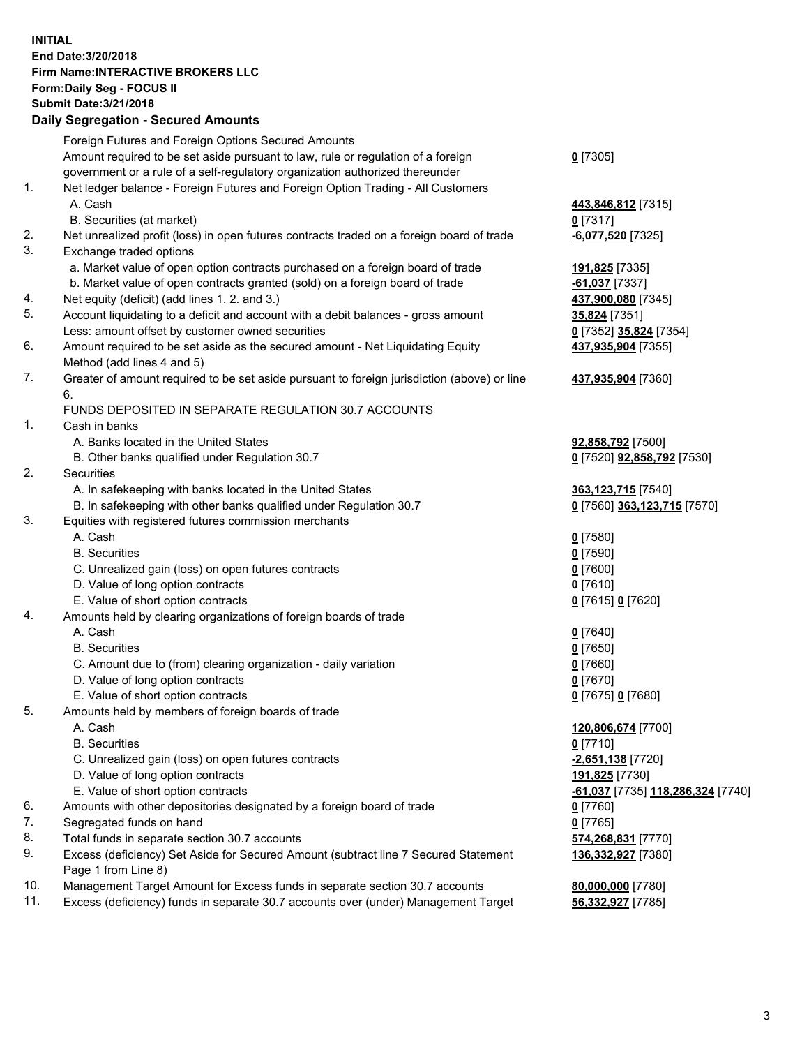## **INITIAL End Date:3/20/2018 Firm Name:INTERACTIVE BROKERS LLC Form:Daily Seg - FOCUS II Submit Date:3/21/2018 Daily Segregation - Secured Amounts**

|                | Daily Jegregation - Jeculed Aniounts                                                                       |                                                |
|----------------|------------------------------------------------------------------------------------------------------------|------------------------------------------------|
|                | Foreign Futures and Foreign Options Secured Amounts                                                        |                                                |
|                | Amount required to be set aside pursuant to law, rule or regulation of a foreign                           | $0$ [7305]                                     |
|                | government or a rule of a self-regulatory organization authorized thereunder                               |                                                |
| 1.             | Net ledger balance - Foreign Futures and Foreign Option Trading - All Customers                            |                                                |
|                | A. Cash                                                                                                    | 443,846,812 [7315]                             |
|                | B. Securities (at market)                                                                                  | $0$ [7317]                                     |
| 2.             | Net unrealized profit (loss) in open futures contracts traded on a foreign board of trade                  | -6,077,520 [7325]                              |
| 3.             | Exchange traded options                                                                                    |                                                |
|                | a. Market value of open option contracts purchased on a foreign board of trade                             | <u>191,825</u> [7335]                          |
|                | b. Market value of open contracts granted (sold) on a foreign board of trade                               | <b>61,037</b> [7337]                           |
| 4.             | Net equity (deficit) (add lines 1.2. and 3.)                                                               | 437,900,080 [7345]                             |
| 5.             | Account liquidating to a deficit and account with a debit balances - gross amount                          | 35,824 [7351]                                  |
|                | Less: amount offset by customer owned securities                                                           | 0 [7352] 35,824 [7354]                         |
| 6.             | Amount required to be set aside as the secured amount - Net Liquidating Equity                             | 437,935,904 [7355]                             |
|                | Method (add lines 4 and 5)                                                                                 |                                                |
| 7.             | Greater of amount required to be set aside pursuant to foreign jurisdiction (above) or line                | 437,935,904 [7360]                             |
|                | 6.                                                                                                         |                                                |
|                | FUNDS DEPOSITED IN SEPARATE REGULATION 30.7 ACCOUNTS                                                       |                                                |
| 1 <sub>1</sub> | Cash in banks                                                                                              |                                                |
|                | A. Banks located in the United States                                                                      | 92,858,792 [7500]                              |
|                | B. Other banks qualified under Regulation 30.7                                                             | 0 [7520] 92,858,792 [7530]                     |
| 2.             | Securities                                                                                                 |                                                |
|                | A. In safekeeping with banks located in the United States                                                  | 363,123,715 [7540]                             |
|                | B. In safekeeping with other banks qualified under Regulation 30.7                                         | 0 [7560] 363,123,715 [7570]                    |
| 3.             | Equities with registered futures commission merchants                                                      |                                                |
|                | A. Cash                                                                                                    | $0$ [7580]                                     |
|                | <b>B.</b> Securities                                                                                       | $0$ [7590]                                     |
|                | C. Unrealized gain (loss) on open futures contracts                                                        | $0$ [7600]                                     |
|                | D. Value of long option contracts                                                                          | $0$ [7610]                                     |
|                | E. Value of short option contracts                                                                         | 0 [7615] 0 [7620]                              |
| 4.             | Amounts held by clearing organizations of foreign boards of trade                                          |                                                |
|                | A. Cash                                                                                                    | $0$ [7640]                                     |
|                | <b>B.</b> Securities                                                                                       | $0$ [7650]                                     |
|                | C. Amount due to (from) clearing organization - daily variation                                            | $0$ [7660]                                     |
|                | D. Value of long option contracts                                                                          | $0$ [7670]                                     |
|                | E. Value of short option contracts                                                                         | 0 [7675] 0 [7680]                              |
| 5.             | Amounts held by members of foreign boards of trade                                                         |                                                |
|                | A. Cash                                                                                                    | 120,806,674 [7700]                             |
|                | <b>B.</b> Securities                                                                                       | $0$ [7710]                                     |
|                | C. Unrealized gain (loss) on open futures contracts                                                        | -2,651,138 [7720]                              |
|                | D. Value of long option contracts                                                                          | 191,825 [7730]                                 |
|                | E. Value of short option contracts                                                                         | <mark>-61,037</mark> [7735] 118,286,324 [7740] |
| 6.             | Amounts with other depositories designated by a foreign board of trade                                     | 0 [7760]                                       |
| 7.             | Segregated funds on hand                                                                                   | $0$ [7765]                                     |
| 8.             | Total funds in separate section 30.7 accounts                                                              | 574,268,831 [7770]                             |
| 9.             | Excess (deficiency) Set Aside for Secured Amount (subtract line 7 Secured Statement<br>Page 1 from Line 8) | 136,332,927 [7380]                             |
| 10.            | Management Target Amount for Excess funds in separate section 30.7 accounts                                | 80,000,000 [7780]                              |
| 11.            | Excess (deficiency) funds in separate 30.7 accounts over (under) Management Target                         | 56,332,927 [7785]                              |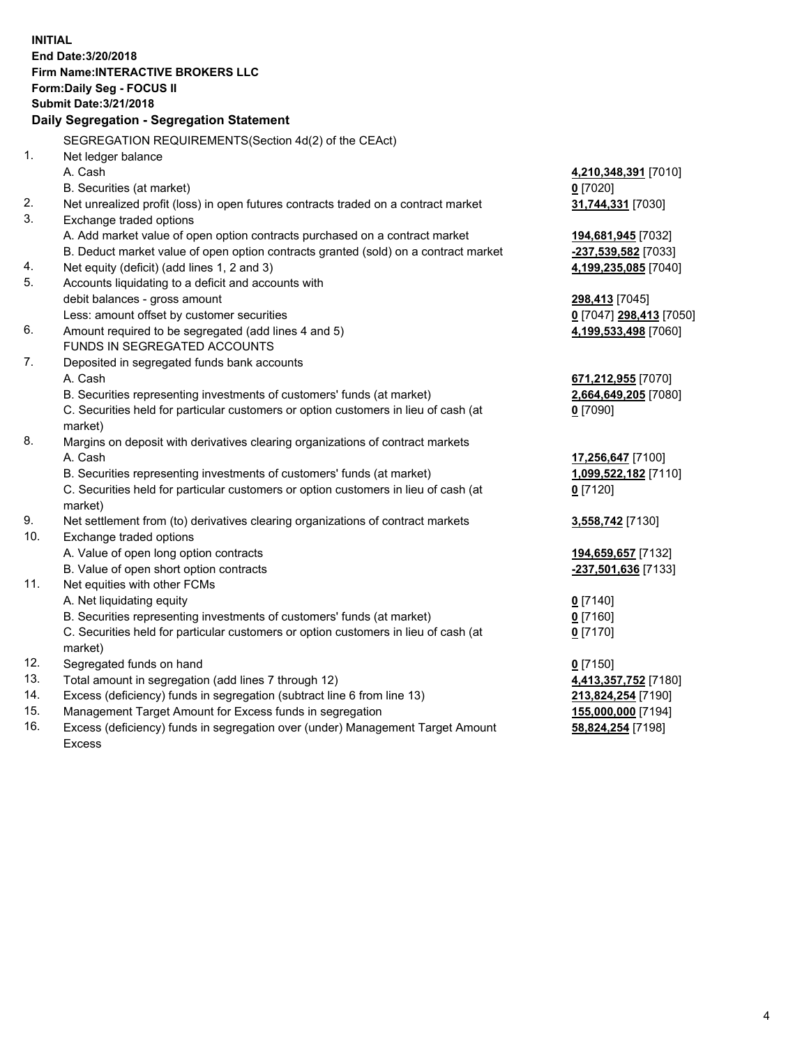**INITIAL End Date:3/20/2018 Firm Name:INTERACTIVE BROKERS LLC Form:Daily Seg - FOCUS II Submit Date:3/21/2018 Daily Segregation - Segregation Statement** SEGREGATION REQUIREMENTS(Section 4d(2) of the CEAct) 1. Net ledger balance A. Cash **4,210,348,391** [7010] B. Securities (at market) **0** [7020] 2. Net unrealized profit (loss) in open futures contracts traded on a contract market **31,744,331** [7030] 3. Exchange traded options A. Add market value of open option contracts purchased on a contract market **194,681,945** [7032] B. Deduct market value of open option contracts granted (sold) on a contract market **-237,539,582** [7033] 4. Net equity (deficit) (add lines 1, 2 and 3) **4,199,235,085** [7040] 5. Accounts liquidating to a deficit and accounts with debit balances - gross amount **298,413** [7045] Less: amount offset by customer securities **0** [7047] **298,413** [7050] 6. Amount required to be segregated (add lines 4 and 5) **4,199,533,498** [7060] FUNDS IN SEGREGATED ACCOUNTS 7. Deposited in segregated funds bank accounts A. Cash **671,212,955** [7070] B. Securities representing investments of customers' funds (at market) **2,664,649,205** [7080] C. Securities held for particular customers or option customers in lieu of cash (at market) **0** [7090] 8. Margins on deposit with derivatives clearing organizations of contract markets A. Cash **17,256,647** [7100] B. Securities representing investments of customers' funds (at market) **1,099,522,182** [7110] C. Securities held for particular customers or option customers in lieu of cash (at market) **0** [7120] 9. Net settlement from (to) derivatives clearing organizations of contract markets **3,558,742** [7130] 10. Exchange traded options A. Value of open long option contracts **194,659,657** [7132] B. Value of open short option contracts **-237,501,636** [7133] 11. Net equities with other FCMs A. Net liquidating equity **0** [7140] B. Securities representing investments of customers' funds (at market) **0** [7160] C. Securities held for particular customers or option customers in lieu of cash (at market) **0** [7170] 12. Segregated funds on hand **0** [7150] 13. Total amount in segregation (add lines 7 through 12) **4,413,357,752** [7180] 14. Excess (deficiency) funds in segregation (subtract line 6 from line 13) **213,824,254** [7190] 15. Management Target Amount for Excess funds in segregation **155,000,000** [7194]

16. Excess (deficiency) funds in segregation over (under) Management Target Amount Excess

**58,824,254** [7198]